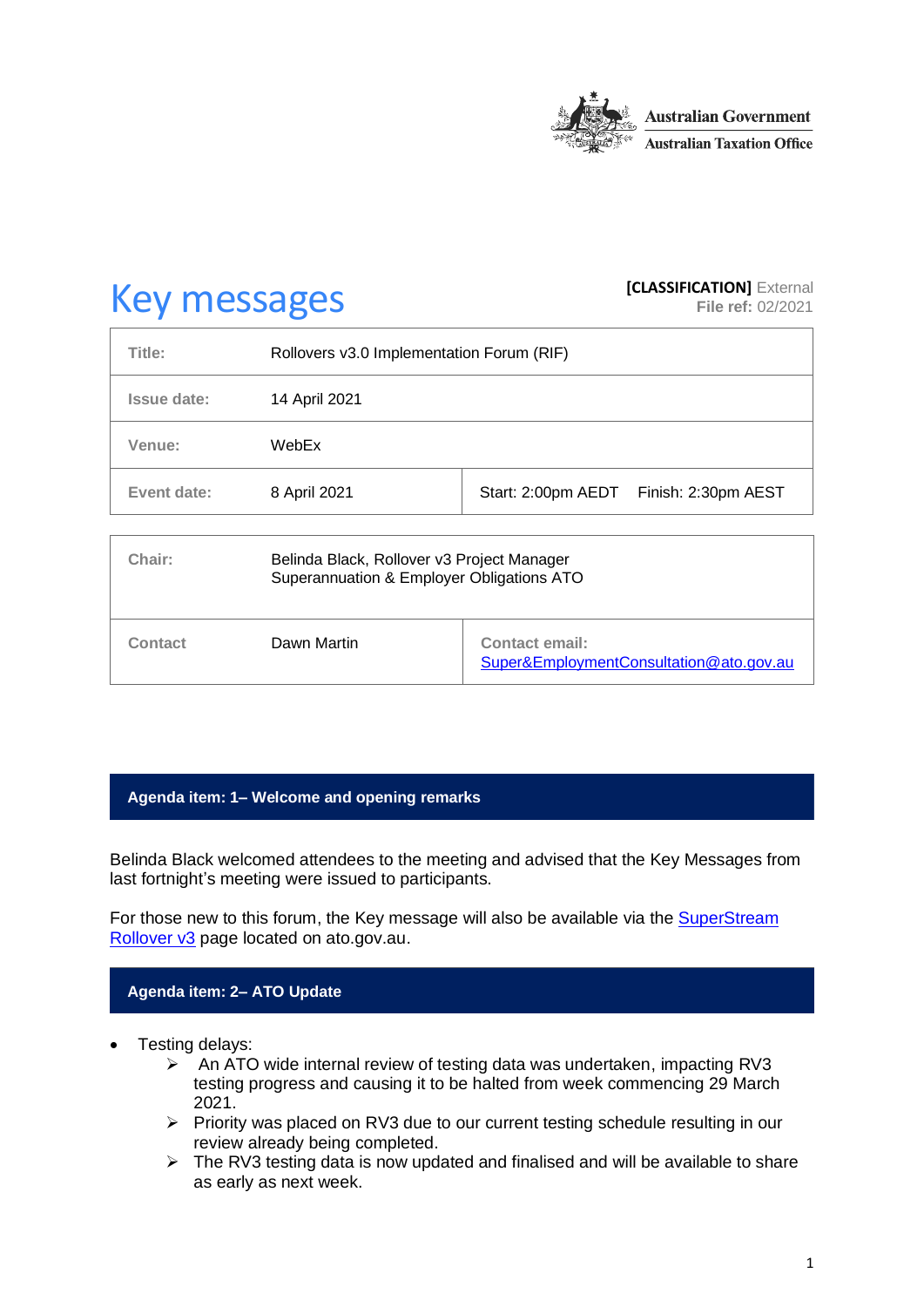

# **Key messages [CLASSIFICATION]** External **[CLASSIFICATION]** External

**File ref:** 02/2021

| Title:             | Rollovers v3.0 Implementation Forum (RIF)                                               |                                                                  |  |
|--------------------|-----------------------------------------------------------------------------------------|------------------------------------------------------------------|--|
| <b>Issue date:</b> | 14 April 2021                                                                           |                                                                  |  |
| Venue:             | WebEx                                                                                   |                                                                  |  |
| Event date:        | 8 April 2021                                                                            | Start: 2:00pm AEDT<br>Finish: 2:30pm AEST                        |  |
| Chair:             | Belinda Black, Rollover v3 Project Manager<br>Superannuation & Employer Obligations ATO |                                                                  |  |
| Contact            | Dawn Martin                                                                             | <b>Contact email:</b><br>Super&EmploymentConsultation@ato.gov.au |  |

#### **Agenda item: 1– Welcome and opening remarks**

Belinda Black welcomed attendees to the meeting and advised that the Key Messages from last fortnight's meeting were issued to participants.

For those new to this forum, the Key message will also be available via the [SuperStream](https://www.ato.gov.au/Super/Sup/SuperStream-Rollover-v3/)  [Rollover v3](https://www.ato.gov.au/Super/Sup/SuperStream-Rollover-v3/) page located on ato.gov.au.

#### **Agenda item: 2– ATO Update**

- Testing delays:
	- $\triangleright$  An ATO wide internal review of testing data was undertaken, impacting RV3 testing progress and causing it to be halted from week commencing 29 March 2021.
	- ➢ Priority was placed on RV3 due to our current testing schedule resulting in our review already being completed.
	- ➢ The RV3 testing data is now updated and finalised and will be available to share as early as next week.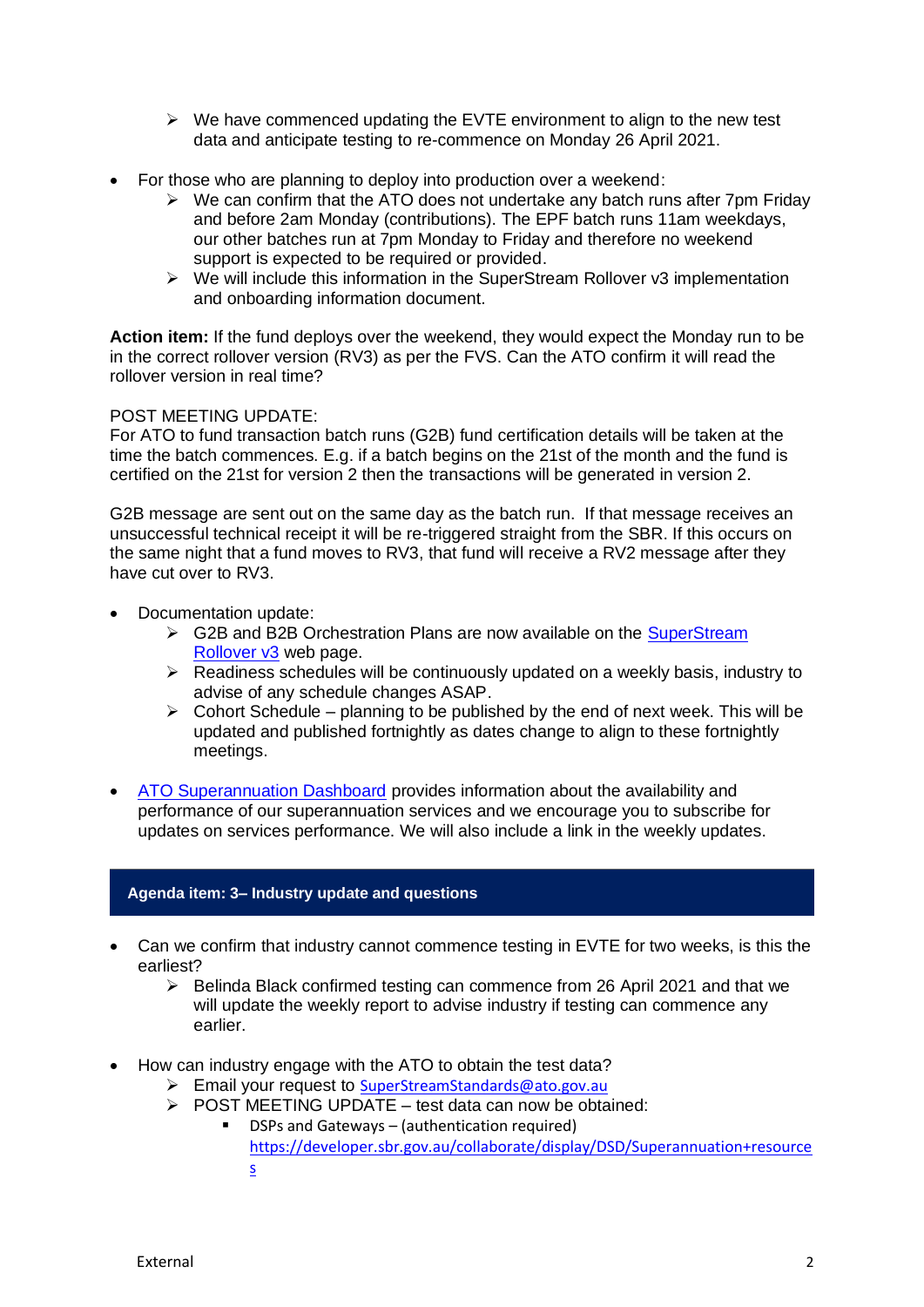- ➢ We have commenced updating the EVTE environment to align to the new test data and anticipate testing to re-commence on Monday 26 April 2021.
- For those who are planning to deploy into production over a weekend:
	- $\triangleright$  We can confirm that the ATO does not undertake any batch runs after 7pm Friday and before 2am Monday (contributions). The EPF batch runs 11am weekdays, our other batches run at 7pm Monday to Friday and therefore no weekend support is expected to be required or provided.
	- $\triangleright$  We will include this information in the SuperStream Rollover v3 implementation and onboarding information document.

**Action item:** If the fund deploys over the weekend, they would expect the Monday run to be in the correct rollover version (RV3) as per the FVS. Can the ATO confirm it will read the rollover version in real time?

#### POST MEETING UPDATE:

For ATO to fund transaction batch runs (G2B) fund certification details will be taken at the time the batch commences. E.g. if a batch begins on the 21st of the month and the fund is certified on the 21st for version 2 then the transactions will be generated in version 2.

G2B message are sent out on the same day as the batch run. If that message receives an unsuccessful technical receipt it will be re-triggered straight from the SBR. If this occurs on the same night that a fund moves to RV3, that fund will receive a RV2 message after they have cut over to RV3.

- Documentation update:
	- ➢ G2B and B2B Orchestration Plans are now available on the [SuperStream](https://www.ato.gov.au/Super/Sup/SuperStream-Rollover-v3/)  [Rollover v3](https://www.ato.gov.au/Super/Sup/SuperStream-Rollover-v3/) web page.
	- ➢ Readiness schedules will be continuously updated on a weekly basis, industry to advise of any schedule changes ASAP.
	- $\triangleright$  Cohort Schedule planning to be published by the end of next week. This will be updated and published fortnightly as dates change to align to these fortnightly meetings.
- [ATO Superannuation Dashboard](https://www.ato.gov.au/Super/APRA-regulated-funds/In-detail/APRA-resources/Guide-to-using-the-ATO-Superannuation-Dashboard/) provides information about the availability and performance of our superannuation services and we encourage you to subscribe for updates on services performance. We will also include a link in the weekly updates.

#### **Agenda item: 3– Industry update and questions**

- Can we confirm that industry cannot commence testing in EVTE for two weeks, is this the earliest?
	- ➢ Belinda Black confirmed testing can commence from 26 April 2021 and that we will update the weekly report to advise industry if testing can commence any earlier.
- How can industry engage with the ATO to obtain the test data?
	- ➢ Email your request to [SuperStreamStandards@ato.gov.au](mailto:SuperStreamStandards@ato.gov.au)
	- $\triangleright$  POST MEETING UPDATE test data can now be obtained:
		- DSPs and Gateways (authentication required) [https://developer.sbr.gov.au/collaborate/display/DSD/Superannuation+resource](https://developer.sbr.gov.au/collaborate/display/DSD/Superannuation+resources) [s](https://developer.sbr.gov.au/collaborate/display/DSD/Superannuation+resources)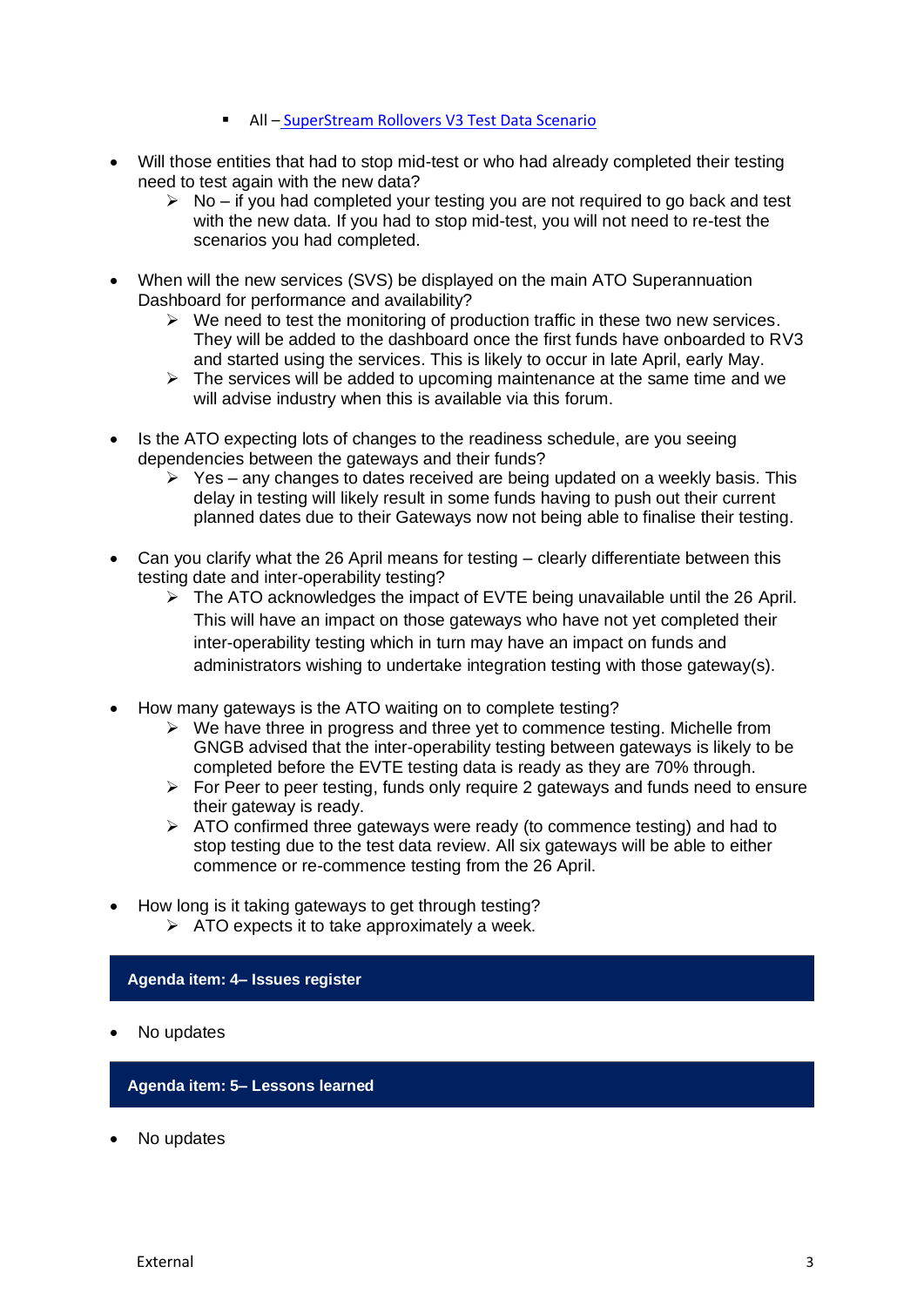- **E** All [SuperStream Rollovers V3 Test Data Scenario](https://softwaredevelopers.ato.gov.au/sites/default/files/2021-04/SuperStream_RolloversV3_Test_Data_Scenario_V1.0.xlsx)
- Will those entities that had to stop mid-test or who had already completed their testing need to test again with the new data?
	- $\triangleright$  No if you had completed your testing you are not required to go back and test with the new data. If you had to stop mid-test, you will not need to re-test the scenarios you had completed.
- When will the new services (SVS) be displayed on the main ATO Superannuation Dashboard for performance and availability?
	- $\triangleright$  We need to test the monitoring of production traffic in these two new services. They will be added to the dashboard once the first funds have onboarded to RV3 and started using the services. This is likely to occur in late April, early May.
	- $\triangleright$  The services will be added to upcoming maintenance at the same time and we will advise industry when this is available via this forum.
- Is the ATO expecting lots of changes to the readiness schedule, are you seeing dependencies between the gateways and their funds?
	- $\triangleright$  Yes any changes to dates received are being updated on a weekly basis. This delay in testing will likely result in some funds having to push out their current planned dates due to their Gateways now not being able to finalise their testing.
- Can you clarify what the 26 April means for testing clearly differentiate between this testing date and inter-operability testing?
	- $\triangleright$  The ATO acknowledges the impact of EVTE being unavailable until the 26 April. This will have an impact on those gateways who have not yet completed their inter-operability testing which in turn may have an impact on funds and administrators wishing to undertake integration testing with those gateway(s).
- How many gateways is the ATO waiting on to complete testing?
	- $\triangleright$  We have three in progress and three yet to commence testing. Michelle from GNGB advised that the inter-operability testing between gateways is likely to be completed before the EVTE testing data is ready as they are 70% through.
	- ➢ For Peer to peer testing, funds only require 2 gateways and funds need to ensure their gateway is ready.
	- ➢ ATO confirmed three gateways were ready (to commence testing) and had to stop testing due to the test data review. All six gateways will be able to either commence or re-commence testing from the 26 April.
- How long is it taking gateways to get through testing?
	- $\triangleright$  ATO expects it to take approximately a week.

#### **Agenda item: 4– Issues register**

No updates

#### **Agenda item: 5– Lessons learned**

No updates